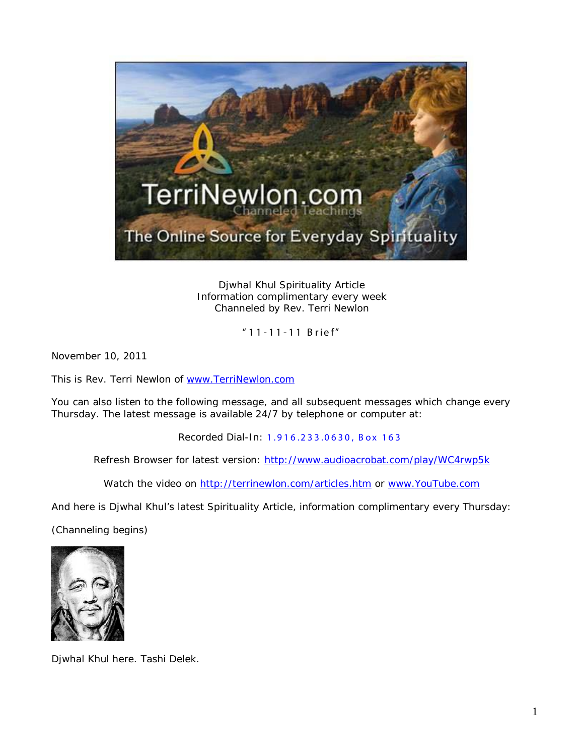

Djwhal Khul Spirituality Article Information complimentary every week Channeled by Rev. Terri Newlon

"11 - 1 1 - 11 Brief"

November 10, 2011

This is Rev. Terri Newlon of [www.TerriNewlon.com](http://www.terrinewlon.com/)

You can also listen to the following message, and all subsequent messages which change every Thursday. The latest message is available 24/7 by telephone or computer at:

Recorded Dial-In: 1.916.233.0630, Box 163

Refresh Browser for latest version: <http://www.audioacrobat.com/play/WC4rwp5k>

Watch the video on<http://terrinewlon.com/articles.htm> or [www.YouTube.com](http://www.youtube.com/)

And here is Djwhal Khul's latest Spirituality Article, information complimentary every Thursday:

(Channeling begins)



Djwhal Khul here. Tashi Delek.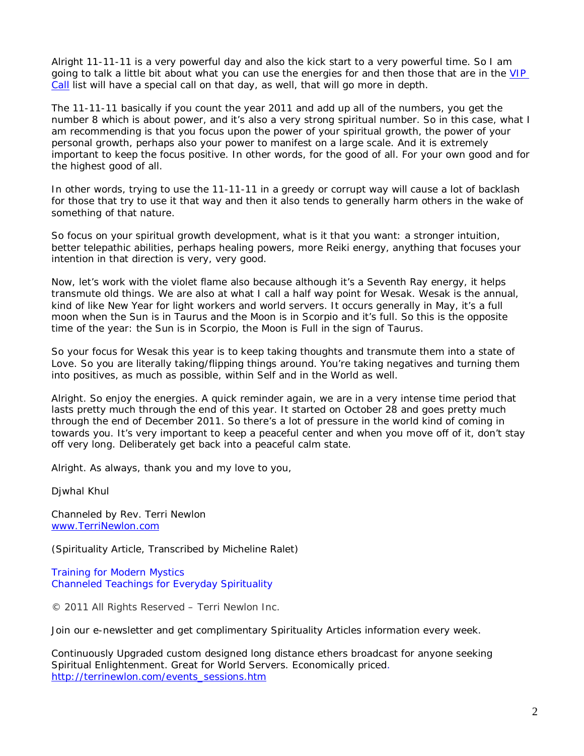Alright 11-11-11 is a very powerful day and also the kick start to a very powerful time. So I am going to talk a little bit about what you can use the energies for and then those that are in the VIP [Call](http://www.terrinewlon.com/11_11_11.html) list will have a special call on that day, as well, that will go more in depth.

The 11-11-11 basically if you count the year 2011 and add up all of the numbers, you get the number 8 which is about power, and it's also a very strong spiritual number. So in this case, what I am recommending is that you focus upon the power of your spiritual growth, the power of your personal growth, perhaps also your power to manifest on a large scale. And it is extremely important to keep the focus positive. In other words, for the good of all. For your own good and for the highest good of all.

In other words, trying to use the 11-11-11 in a greedy or corrupt way will cause a lot of backlash for those that try to use it that way and then it also tends to generally harm others in the wake of something of that nature.

So focus on your spiritual growth development, what is it that you want: a stronger intuition, better telepathic abilities, perhaps healing powers, more Reiki energy, anything that focuses your intention in that direction is very, very good.

Now, let's work with the violet flame also because although it's a Seventh Ray energy, it helps transmute old things. We are also at what I call a half way point for Wesak. Wesak is the annual, kind of like New Year for light workers and world servers. It occurs generally in May, it's a full moon when the Sun is in Taurus and the Moon is in Scorpio and it's full. So this is the opposite time of the year: the Sun is in Scorpio, the Moon is Full in the sign of Taurus.

So your focus for Wesak this year is to keep taking thoughts and transmute them into a state of Love. So you are literally taking/flipping things around. You're taking negatives and turning them into positives, as much as possible, within Self and in the World as well.

Alright. So enjoy the energies. A quick reminder again, we are in a very intense time period that lasts pretty much through the end of this year. It started on October 28 and goes pretty much through the end of December 2011. So there's a lot of pressure in the world kind of coming in towards you. It's very important to keep a peaceful center and when you move off of it, don't stay off very long. Deliberately get back into a peaceful calm state.

Alright. As always, thank you and my love to you,

Djwhal Khul

Channeled by Rev. Terri Newlon [www.TerriNewlon.com](http://www.terrinewlon.com/)

(Spirituality Article, Transcribed by Micheline Ralet)

Training for Modern Mystics [Channeled Teachings for Everyday Spirituality](http://www.terrinewlon.com/)

© 2011 All Rights Reserved – Terri Newlon Inc.

Join our e-newsletter and get complimentary Spirituality Articles information every week.

Continuously Upgraded custom designed long distance ethers broadcast for anyone seeking Spiritual Enlightenment. Great for World Servers. Economically priced. [http://terrinewlon.com/events\\_sessions.htm](http://terrinewlon.com/events_sessions.htm)